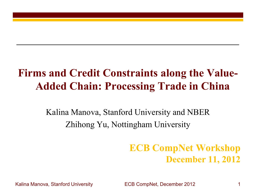### **Firms and Credit Constraints along the Value-Added Chain: Processing Trade in China**

Kalina Manova, Stanford University and NBER Zhihong Yu, Nottingham University

### **ECB CompNet Workshop December 11, 2012**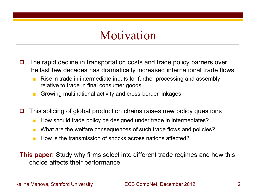### Motivation

- The rapid decline in transportation costs and trade policy barriers over the last few decades has dramatically increased international trade flows
	- Rise in trade in intermediate inputs for further processing and assembly relative to trade in final consumer goods
	- Growing multinational activity and cross-border linkages
- $\Box$  This splicing of global production chains raises new policy questions
	- How should trade policy be designed under trade in intermediates?
	- What are the welfare consequences of such trade flows and policies?
	- How is the transmission of shocks across nations affected?

**This paper:** Study why firms select into different trade regimes and how this choice affects their performance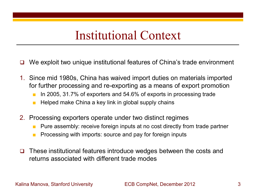### Institutional Context

- We exploit two unique institutional features of China's trade environment
- 1. Since mid 1980s, China has waived import duties on materials imported for further processing and re-exporting as a means of export promotion
	- In 2005, 31.7% of exporters and 54.6% of exports in processing trade
	- Helped make China a key link in global supply chains
- 2. Processing exporters operate under two distinct regimes
	- Pure assembly: receive foreign inputs at no cost directly from trade partner
	- Processing with imports: source and pay for foreign inputs
- $\Box$  These institutional features introduce wedges between the costs and returns associated with different trade modes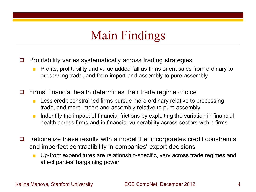# Main Findings

- $\Box$  Profitability varies systematically across trading strategies
	- Profits, profitability and value added fall as firms orient sales from ordinary to processing trade, and from import-and-assembly to pure assembly
- $\Box$  Firms' financial health determines their trade regime choice
	- Less credit constrained firms pursue more ordinary relative to processing trade, and more import-and-assembly relative to pure assembly
	- Indentify the impact of financial frictions by exploiting the variation in financial health across firms and in financial vulnerability across sectors within firms
- Rationalize these results with a model that incorporates credit constraints and imperfect contractibility in companies' export decisions
	- Up-front expenditures are relationship-specific, vary across trade regimes and affect parties' bargaining power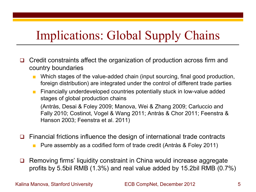# Implications: Global Supply Chains

- $\Box$  Credit constraints affect the organization of production across firm and country boundaries
	- Which stages of the value-added chain (input sourcing, final good production, foreign distribution) are integrated under the control of different trade parties
	- Financially underdeveloped countries potentially stuck in low-value added stages of global production chains

 (Antràs, Desai & Foley 2009; Manova, Wei & Zhang 2009; Carluccio and Fally 2010; Costinot, Vogel & Wang 2011; Antràs & Chor 2011; Feenstra & Hanson 2003; Feenstra et al. 2011)

Financial frictions influence the design of international trade contracts

- Pure assembly as a codified form of trade credit (Antràs & Foley 2011)
- **□** Removing firms' liquidity constraint in China would increase aggregate profits by 5.5bil RMB (1.3%) and real value added by 15.2bil RMB (0.7%)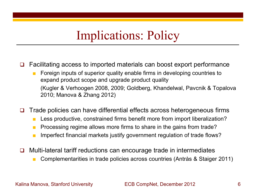### Implications: Policy

 $\Box$  Facilitating access to imported materials can boost export performance

- Foreign inputs of superior quality enable firms in developing countries to expand product scope and upgrade product quality (Kugler & Verhoogen 2008, 2009; Goldberg, Khandelwal, Pavcnik & Topalova 2010; Manova & Zhang 2012)
- $\Box$  Trade policies can have differential effects across heterogeneous firms
	- Less productive, constrained firms benefit more from import liberalization?
	- Processing regime allows more firms to share in the gains from trade?
	- Imperfect financial markets justify government regulation of trade flows?
- □ Multi-lateral tariff reductions can encourage trade in intermediates
	- Complementarities in trade policies across countries (Antràs & Staiger 2011)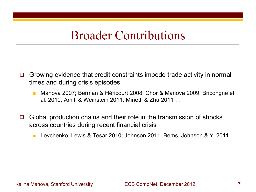### Broader Contributions

- Growing evidence that credit constraints impede trade activity in normal times and during crisis episodes
	- Manova 2007; Berman & Héricourt 2008; Chor & Manova 2009; Bricongne et al. 2010; Amiti & Weinstein 2011; Minetti & Zhu 2011 …
- $\Box$  Global production chains and their role in the transmission of shocks across countries during recent financial crisis
	- Levchenko, Lewis & Tesar 2010; Johnson 2011; Bems, Johnson & Yi 2011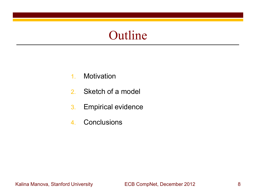### Outline

- 1. Motivation
- 2. Sketch of a model
- 3. Empirical evidence
- 4. Conclusions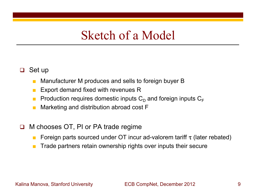### Sketch of a Model

- $\Box$  Set up
	- Manufacturer M produces and sells to foreign buyer B
	- Export demand fixed with revenues R
	- **Production requires domestic inputs**  $C_{\text{D}}$  **and foreign inputs**  $C_{\text{F}}$
	- Marketing and distribution abroad cost F
- □ M chooses OT, PI or PA trade regime
	- **Foreign parts sourced under OT incur ad-valorem tariff**  $\tau$  **(later rebated)**
	- Trade partners retain ownership rights over inputs their secure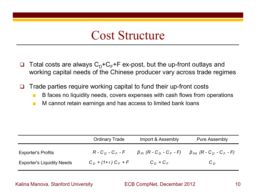## Cost Structure

 $\Box$  Total costs are always  $C_{\Box}+C_{\Box}+F$  ex-post, but the up-front outlays and working capital needs of the Chinese producer vary across trade regimes

 $\Box$  Trade parties require working capital to fund their up-front costs

- B faces no liquidity needs, covers expenses with cash flows from operations
- M cannot retain earnings and has access to limited bank loans

|                                   | <b>Ordinary Trade</b>          | Import & Assembly                      | <b>Pure Assembly</b>                                   |
|-----------------------------------|--------------------------------|----------------------------------------|--------------------------------------------------------|
| <b>Exporter's Profits</b>         | $R$ - $C_D$ - $C_F$ - $F$      | $\beta_{PI}$ (R - C $_D$ - C $_F$ - F) | $\beta_{PA}$ (R - C <sub>D</sub> - C <sub>F</sub> - F) |
| <b>Exporter's Liquidity Needs</b> | $C_D$ + (1+ $\tau$ ) $C_F$ + F | $C_D + C_F$                            | $C_D$                                                  |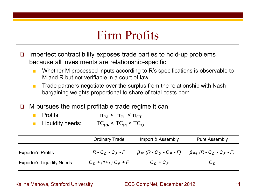## Firm Profits

- $\Box$  Imperfect contractibility exposes trade parties to hold-up problems because all investments are relationship-specific
	- Whether M processed inputs according to R's specifications is observable to M and R but not verifiable in a court of law
	- Trade partners negotiate over the surplus from the relationship with Nash bargaining weights proportional to share of total costs born
- $\Box$  M pursues the most profitable trade regime it can
	- Profits:  $\pi_{P_A} < \pi_{P_I} < \pi_{\text{OT}}$ Liquidity needs:  $TC_{PA} < TC_{PI} < TC_{OT}$

|                                   | <b>Ordinary Trade</b>          | Import & Assembly                                      | <b>Pure Assembly</b>                                   |
|-----------------------------------|--------------------------------|--------------------------------------------------------|--------------------------------------------------------|
| <b>Exporter's Profits</b>         | $R$ - $C_D$ - $C_F$ - $F$      | $\beta_{PI}$ (R - C <sub>D</sub> - C <sub>F</sub> - F) | $\beta_{PA}$ (R - C <sub>D</sub> - C <sub>F</sub> - F) |
| <b>Exporter's Liquidity Needs</b> | $C_D$ + (1+ $\tau$ ) $C_F$ + F | $C_D + C_F$                                            | $C_D$                                                  |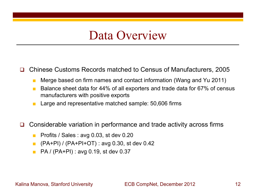### Data Overview

Chinese Customs Records matched to Census of Manufacturers, 2005

- Merge based on firm names and contact information (Wang and Yu 2011)
- Balance sheet data for 44% of all exporters and trade data for 67% of census manufacturers with positive exports
- Large and representative matched sample: 50,606 firms
- $\Box$  Considerable variation in performance and trade activity across firms
	- Profits / Sales : avg  $0.03$ , st dev  $0.20$
	- $\blacksquare$  (PA+PI) / (PA+PI+OT) : avg 0.30, st dev 0.42
	- PA / (PA+PI) : avg 0.19, st dev 0.37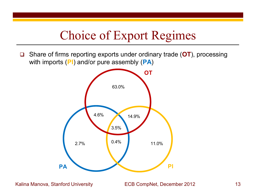## Choice of Export Regimes

 Share of firms reporting exports under ordinary trade (**OT**), processing with imports (**PI**) and/or pure assembly (**PA**)

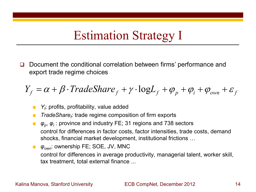## Estimation Strategy I

 Document the conditional correlation between firms' performance and export trade regime choices

$$
Y_f = \alpha + \beta \cdot TradeShare_f + \gamma \cdot logL_f + \varphi_p + \varphi_i + \varphi_{own} + \varepsilon_f
$$

- *Y<sub>f</sub>*: profits, profitability, value added
- *TradeShare<sub>f</sub>:* trade regime composition of firm exports
- *φ<sub>p</sub>*, *φ<sub>i</sub>*: province and industry FE; 31 regions and 738 sectors control for differences in factor costs, factor intensities, trade costs, demand shocks, financial market development, institutional frictions …
- $\varphi_{own}$ : ownership FE; SOE, JV, MNC control for differences in average productivity, managerial talent, worker skill, tax treatment, total external finance ...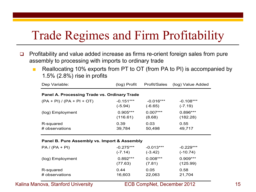## Trade Regimes and Firm Profitability

- $\Box$  Profitability and value added increase as firms re-orient foreign sales from pure assembly to processing with imports to ordinary trade
	- Reallocating 10% exports from PT to OT (from PA to PI) is accompanied by 1.5% (2.8%) rise in profits

| Dep Variable:                                | (log) Profit                                 | Profit/Sales | (log) Value Added |  |  |  |  |  |
|----------------------------------------------|----------------------------------------------|--------------|-------------------|--|--|--|--|--|
|                                              | Panel A. Processing Trade vs. Ordinary Trade |              |                   |  |  |  |  |  |
| $(PA + PI) / (PA + PI + OT)$                 | $-0.151***$                                  | $-0.016***$  | $-0.108***$       |  |  |  |  |  |
|                                              | $(-5.94)$                                    | $(-6.65)$    | $(-7.19)$         |  |  |  |  |  |
| (log) Employment                             | $0.905***$                                   | $0.007***$   | $0.896***$        |  |  |  |  |  |
|                                              | (116.61)                                     | (8.68)       | (182.28)          |  |  |  |  |  |
| R-squared                                    | 0.39                                         | 0.03         | 0.55              |  |  |  |  |  |
| # observations                               | 39,784                                       | 50,498       | 49,717            |  |  |  |  |  |
| Panel B. Pure Assembly vs. Import & Assembly |                                              |              |                   |  |  |  |  |  |
| $PA / (PA + PI)$                             | $-0.275***$                                  | $-0.013***$  | $-0.229***$       |  |  |  |  |  |
|                                              | $(-7.14)$                                    | $(-3.42)$    | $(-10.74)$        |  |  |  |  |  |
| (log) Employment                             | $0.892***$                                   | $0.008***$   | $0.909***$        |  |  |  |  |  |
|                                              | (77.63)                                      | (7.81)       | (125.99)          |  |  |  |  |  |
| R-squared                                    | 0.44                                         | 0.05         | 0.58              |  |  |  |  |  |
| # observations                               | 16,603                                       | 22,063       | 21,704            |  |  |  |  |  |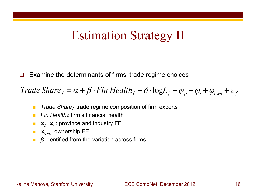## Estimation Strategy II

Examine the determinants of firms' trade regime choices

*f Frade Share*  $f = \alpha + \beta \cdot \text{Fin}$  *Health*  $f + \delta \cdot \log L_f + \varphi_p + \varphi_i + \varphi_{own} + \varepsilon_f$ 

- *Trade Share<sub>f</sub>*: trade regime composition of firm exports
- *Fin Health<sub>f</sub>:* firm's financial health
- *φ<sub>p</sub>*, *φ<sub>i</sub>*: province and industry FE
- *φown*: ownership FE
- *β* identified from the variation across firms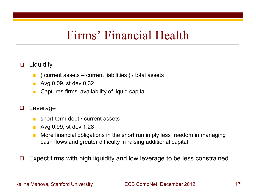### Firms' Financial Health

### **Q** Liquidity

- $\blacksquare$  ( current assets current liabilities ) / total assets
- Avg 0.09, st dev 0.32
- Captures firms' availability of liquid capital

### **Q** Leverage

- short-term debt / current assets
- Avg 0.99, st dev 1.28
- More financial obligations in the short run imply less freedom in managing cash flows and greater difficulty in raising additional capital

Expect firms with high liquidity and low leverage to be less constrained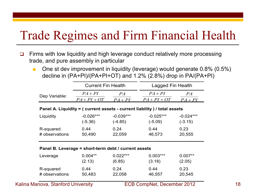# Trade Regimes and Firm Financial Health

- □ Firms with low liquidity and high leverage conduct relatively more processing trade, and pure assembly in particular
	- One st dev improvement in liquidity (leverage) would generate 0.8% (0.5%) decline in (PA+PI)/(PA+PI+OT) and 1.2% (2.8%) drop in PA/(PA+PI)

|                | <b>Current Fin Health</b>                            |             | Lagged Fin Health                                                          |             |
|----------------|------------------------------------------------------|-------------|----------------------------------------------------------------------------|-------------|
|                |                                                      |             |                                                                            |             |
| Dep Variable:  | $PA+PI$                                              | PA          | $PA + PI$                                                                  | PA          |
|                | $PA + PI + OT$                                       | $PA+PI$     | $PA + PI + OT$                                                             | $PA+PI$     |
|                |                                                      |             | Panel A. Liquidity = ( current assets - current liability ) / total assets |             |
| Liquidity      | $-0.026***$                                          | $-0.039***$ | $-0.025***$                                                                | $-0.024***$ |
|                | $(-5.36)$                                            | $(-4.85)$   | $(-5.09)$                                                                  | $(-3.15)$   |
| R-squared      | 0.44                                                 | 0.24        | 0.44                                                                       | 0.23        |
| # observations | 50,490                                               | 22,059      | 46,573                                                                     | 20,555      |
|                |                                                      |             |                                                                            |             |
|                | Panel B. Leverage = short-term debt / current assets |             |                                                                            |             |
| Leverage       | $0.004**$                                            | $0.022***$  | $0.003***$                                                                 | $0.007**$   |
|                | (2.13)                                               | (6.85)      | (3.18)                                                                     | (2.05)      |
| R-squared      | 0.44                                                 | 0.24        | 0.44                                                                       | 0.23        |
| # observations | 50,483                                               | 22,058      | 46,557                                                                     | 20,545      |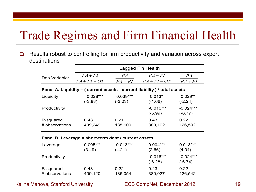## Trade Regimes and Firm Financial Health

□ Results robust to controlling for firm productivity and variation across export destinations

|                             |                                                      |                          | Lagged Fin Health                                                          |                          |
|-----------------------------|------------------------------------------------------|--------------------------|----------------------------------------------------------------------------|--------------------------|
| Dep Variable:               | $PA + PI$                                            | PA                       | $PA+PI$                                                                    | PA                       |
|                             | $PA + PI + OT$                                       | $PA + PI$                | $PA + PI + OT$                                                             | $PA+PI$                  |
|                             |                                                      |                          | Panel A. Liquidity = ( current assets - current liability ) / total assets |                          |
| Liquidity                   | $-0.028***$<br>$(-3.88)$                             | $-0.039***$<br>$(-3.23)$ | $-0.013*$<br>$(-1.66)$                                                     | $-0.029**$<br>$(-2.24)$  |
| Productivity                |                                                      |                          | $-0.016***$<br>$(-5.99)$                                                   | $-0.024***$<br>$(-6.77)$ |
| R-squared<br># observations | 0.43<br>409,249                                      | 0.21<br>135,109          | 0.43<br>380,102                                                            | 0.22<br>126,592          |
|                             | Panel B. Leverage = short-term debt / current assets |                          |                                                                            |                          |
| Leverage                    | $0.005***$<br>(3.49)                                 | $0.013***$<br>(4.21)     | $0.004***$<br>(2.66)                                                       | $0.013***$<br>(4.04)     |
| Productivity                |                                                      |                          | $-0.016***$<br>$(-6.28)$                                                   | $-0.024***$<br>$(-6.74)$ |
| R-squared<br># observations | 0.43<br>409,120                                      | 0.22<br>135,054          | 0.43<br>380,027                                                            | 0.22<br>126,542          |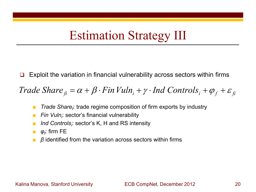## Estimation Strategy III

Exploit the variation in financial vulnerability across sectors within firms

*fi <sup>i</sup> Controls fi fi Trade Share* βα *FinVuln* <sup>γ</sup> ⋅+⋅+= *Ind* ++ εϕ

- *Trade Share<sub>f</sub>*: trade regime composition of firm exports by industry
- *Fin Vuln<sub>i</sub>*: sector's financial vulnerability
- *Ind Controls<sub>i</sub>:* sector's K, H and RS intensity
- $\bullet$  *φ<sub>f</sub>*: firm FE
- *β* identified from the variation across sectors within firms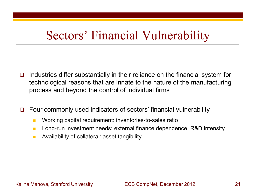## Sectors' Financial Vulnerability

- $\Box$  Industries differ substantially in their reliance on the financial system for technological reasons that are innate to the nature of the manufacturing process and beyond the control of individual firms
- $\Box$  Four commonly used indicators of sectors' financial vulnerability
	- Working capital requirement: inventories-to-sales ratio
	- Long-run investment needs: external finance dependence, R&D intensity
	- Availability of collateral: asset tangibility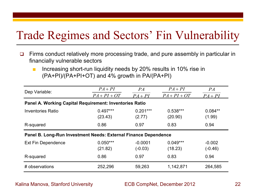## Trade Regimes and Sectors' Fin Vulnerability

- $\Box$  Firms conduct relatively more processing trade, and pure assembly in particular in financially vulnerable sectors
	- Increasing short-run liquidity needs by 20% results in 10% rise in (PA+PI)/(PA+PI+OT) and 4% growth in PA/(PA+PI)

| Dep Variable:                                                   | $PA + PI$<br>$PA + PI + OT$ | PA<br>$PA + PI$        | $PA+PI$<br>$PA + PI + OT$ | PA<br>$PA + PI$       |  |
|-----------------------------------------------------------------|-----------------------------|------------------------|---------------------------|-----------------------|--|
| Panel A. Working Capital Requirement: Inventories Ratio         |                             |                        |                           |                       |  |
| <b>Inventories Ratio</b>                                        | $0.497***$<br>(23.43)       | $0.201***$<br>(2.77)   | $0.538***$<br>(20.90)     | $0.084**$<br>(1.99)   |  |
| R-squared                                                       | 0.86                        | 0.97                   | 0.83                      | 0.94                  |  |
| Panel B. Long-Run Investment Needs: External Finance Dependence |                             |                        |                           |                       |  |
| <b>Ext Fin Dependence</b>                                       | $0.050***$<br>(21.82)       | $-0.0001$<br>$(-0.03)$ | $0.049***$<br>(18.23)     | $-0.002$<br>$(-0.46)$ |  |
| R-squared                                                       | 0.86                        | 0.97                   | 0.83                      | 0.94                  |  |
| # observations                                                  | 252,296                     | 59,263                 | 1,142,871                 | 264,585               |  |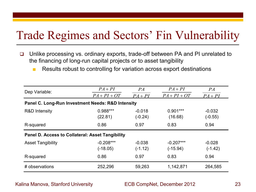### Trade Regimes and Sectors' Fin Vulnerability

- □ Unlike processing vs. ordinary exports, trade-off between PA and PI unrelated to the financing of long-run capital projects or to asset tangibility
	- Results robust to controlling for variation across export destinations

| Dep Variable:                                           | $PA+PI$        | PA        | $PA+PI$        | PA        |
|---------------------------------------------------------|----------------|-----------|----------------|-----------|
|                                                         | $PA + PI + OT$ | $PA+PI$   | $PA + PI + OT$ | $PA + PI$ |
| Panel C. Long-Run Investment Needs: R&D Intensity       |                |           |                |           |
| R&D Intensity                                           | $0.988***$     | $-0.018$  | $0.901***$     | $-0.032$  |
|                                                         | (22.81)        | $(-0.24)$ | (16.68)        | $(-0.55)$ |
| R-squared                                               | 0.86           | 0.97      | 0.83           | 0.94      |
| <b>Panel D. Access to Collateral: Asset Tangibility</b> |                |           |                |           |
| <b>Asset Tangibility</b>                                | $-0.208***$    | $-0.038$  | $-0.207***$    | $-0.028$  |
|                                                         | $(-18.05)$     | $(-1.12)$ | $(-15.94)$     | $(-1.42)$ |
| R-squared                                               | 0.86           | 0.97      | 0.83           | 0.94      |
| # observations                                          | 252,296        | 59,263    | 1,142,871      | 264,585   |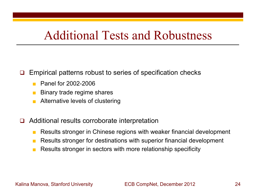### Additional Tests and Robustness

### $\Box$  Empirical patterns robust to series of specification checks

- Panel for 2002-2006
- Binary trade regime shares
- Alternative levels of clustering
- Additional results corroborate interpretation
	- Results stronger in Chinese regions with weaker financial development
	- Results stronger for destinations with superior financial development
	- Results stronger in sectors with more relationship specificity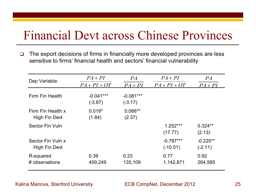### Financial Devt across Chinese Provinces

 $\Box$  The export decisions of firms in financially more developed provinces are less sensitive to firms' financial health and sectors' financial vulnerability

| Dep Variable:                      | $PA+PI$                  | PA                       | $PA+PI$                   | PA                      |
|------------------------------------|--------------------------|--------------------------|---------------------------|-------------------------|
|                                    | $PA + PI + OT$           | $PA+PI$                  | $PA + PI + OT$            | $PA+PI$                 |
| Firm Fin Health                    | $-0.041***$<br>$(-3.87)$ | $-0.081***$<br>$(-3.17)$ |                           |                         |
| Firm Fin Health x<br>High Fin Devt | $0.019*$<br>(1.84)       | $0.066**$<br>(2.37)      |                           |                         |
| Sector Fin Vuln                    |                          |                          | $1.252***$<br>(17.77)     | $0.324**$<br>(2.13)     |
| Sector Fin Vuln x<br>High Fin Devt |                          |                          | $-0.787***$<br>$(-10.51)$ | $-0.220**$<br>$(-2.11)$ |
| R-squared<br># observations        | 0.39<br>409,249          | 0.23<br>135,109          | 0.77<br>1,142,871         | 0.92<br>264,585         |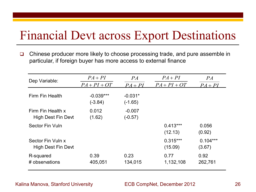## Financial Devt across Export Destinations

□ Chinese producer more likely to choose processing trade, and pure assemble in particular, if foreign buyer has more access to external finance

| Dep Variable:                           | $PA+PI$                  | PA                     | $PA+PI$               | PA                   |
|-----------------------------------------|--------------------------|------------------------|-----------------------|----------------------|
|                                         | $PA + PI + OT$           | $PA+PI$                | $PA + PI + OT$        | $PA+PI$              |
| Firm Fin Health                         | $-0.039***$<br>$(-3.84)$ | $-0.031*$<br>$(-1.65)$ |                       |                      |
| Firm Fin Health x<br>High Dest Fin Devt | 0.012<br>(1.62)          | $-0.007$<br>$(-0.57)$  |                       |                      |
| Sector Fin Vuln                         |                          |                        | $0.413***$<br>(12.13) | 0.056<br>(0.92)      |
| Sector Fin Vuln x<br>High Dest Fin Devt |                          |                        | $0.315***$<br>(15.09) | $0.104***$<br>(3.67) |
| R-squared<br># observations             | 0.39<br>405,051          | 0.23<br>134,015        | 0.77<br>1,132,108     | 0.92<br>262,761      |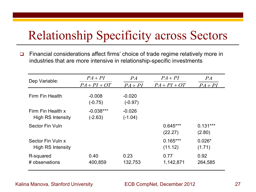## Relationship Specificity across Sectors

□ Financial considerations affect firms' choice of trade regime relatively more in industries that are more intensive in relationship-specific investments

| Dep Variable:                                 | $PA+PI$                  | PA                    | $PA+PI$               | PA                   |
|-----------------------------------------------|--------------------------|-----------------------|-----------------------|----------------------|
|                                               | $PA + PI + OT$           | $PA+PI$               | $PA + PI + OT$        | $PA+PI$              |
| Firm Fin Health                               | $-0.008$<br>$(-0.75)$    | $-0.020$<br>$(-0.97)$ |                       |                      |
| Firm Fin Health x<br><b>High RS Intensity</b> | $-0.038***$<br>$(-2.63)$ | $-0.026$<br>$(-1.04)$ |                       |                      |
| Sector Fin Vuln                               |                          |                       | $0.645***$<br>(22.27) | $0.131***$<br>(2.80) |
| Sector Fin Vuln x<br><b>High RS Intensity</b> |                          |                       | $0.165***$<br>(11.12) | $0.026*$<br>(1.71)   |
| R-squared<br># observations                   | 0.40<br>400,859          | 0.23<br>132,753       | 0.77<br>1,142,871     | 0.92<br>264,585      |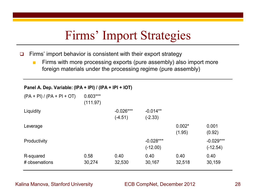### Firms' Import Strategies

 $\Box$  Firms' import behavior is consistent with their export strategy

■ Firms with more processing exports (pure assembly) also import more foreign materials under the processing regime (pure assembly)

### **Panel A. Dep. Variable: (IPA + IPI) / (IPA + IPI + IOT)**

| $(PA + PI) / (PA + PI + OT)$ | $0.603***$<br>(111.97) |             |             |          |             |
|------------------------------|------------------------|-------------|-------------|----------|-------------|
| Liquidity                    |                        | $-0.026***$ | $-0.014**$  |          |             |
|                              |                        | $(-4.51)$   | $(-2.33)$   |          |             |
| Leverage                     |                        |             |             | $0.002*$ | 0.001       |
|                              |                        |             |             | (1.95)   | (0.92)      |
| Productivity                 |                        |             | $-0.028***$ |          | $-0.029***$ |
|                              |                        |             | $(-12.00)$  |          | $(-12.54)$  |
| R-squared                    | 0.58                   | 0.40        | 0.40        | 0.40     | 0.40        |
| # observations               | 30,274                 | 32,530      | 30,167      | 32,518   | 30,159      |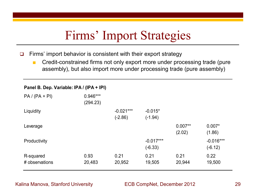### Firms' Import Strategies

 $\Box$  Firms' import behavior is consistent with their export strategy

■ Credit-constrained firms not only export more under processing trade (pure assembly), but also import more under processing trade (pure assembly)

### **Panel B. Dep. Variable: IPA / (IPA + IPI)**

| $PA / (PA + PI)$            | 0.946***<br>(294.23) |                          |                          |                     |                          |
|-----------------------------|----------------------|--------------------------|--------------------------|---------------------|--------------------------|
| Liquidity                   |                      | $-0.021***$<br>$(-2.86)$ | $-0.015*$<br>$(-1.94)$   |                     |                          |
| Leverage                    |                      |                          |                          | $0.007**$<br>(2.02) | $0.007*$<br>(1.86)       |
| Productivity                |                      |                          | $-0.017***$<br>$(-6.33)$ |                     | $-0.016***$<br>$(-6.12)$ |
| R-squared<br># observations | 0.93<br>20,483       | 0.21<br>20,952           | 0.21<br>19,505           | 0.21<br>20,944      | 0.22<br>19,500           |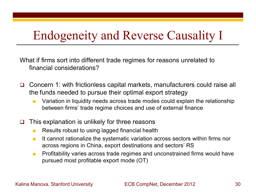## Endogeneity and Reverse Causality I

What if firms sort into different trade regimes for reasons unrelated to financial considerations?

- Concern 1: with frictionless capital markets, manufacturers could raise all the funds needed to pursue their optimal export strategy
	- Variation in liquidity needs across trade modes could explain the relationship between firms' trade regime choices and use of external finance
- $\Box$  This explanation is unlikely for three reasons
	- Results robust to using lagged financial health
	- It cannot rationalize the systematic variation across sectors within firms nor across regions in China, export destinations and sectors' RS
	- Profitability varies across trade regimes and unconstrained firms would have pursued most profitable export mode (OT)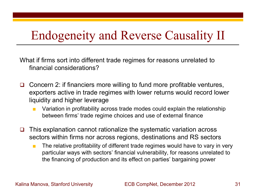## Endogeneity and Reverse Causality II

What if firms sort into different trade regimes for reasons unrelated to financial considerations?

- Concern 2: if financiers more willing to fund more profitable ventures, exporters active in trade regimes with lower returns would record lower liquidity and higher leverage
	- Variation in profitability across trade modes could explain the relationship between firms' trade regime choices and use of external finance
- $\Box$  This explanation cannot rationalize the systematic variation across sectors within firms nor across regions, destinations and RS sectors
	- The relative profitability of different trade regimes would have to vary in very particular ways with sectors' financial vulnerability, for reasons unrelated to the financing of production and its effect on parties' bargaining power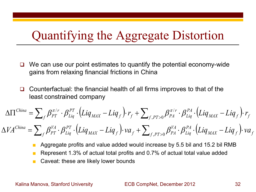### Quantifying the Aggregate Distortion

- We can use our point estimates to quantify the potential economy-wide gains from relaxing financial frictions in China
- Counterfactual: the financial health of all firms improves to that of the least constrained company

$$
\Delta\Pi^{China} = \sum_{f} \beta_{PT}^{\pi/r} \cdot \beta_{Liq}^{PT} \cdot (Liq_{MAX} - Liq_{f}) \cdot r_{f} + \sum_{f,PT>0} \beta_{PA}^{\pi/r} \cdot \beta_{Liq}^{PA} \cdot (Liq_{MAX} - Liq_{f}) \cdot r_{f}
$$

$$
\Delta V A^{China} = \sum_{f} \beta_{PT}^{VA} \cdot \beta_{Liq}^{PT} \cdot (Liq_{MAX} - Liq_{f}) \cdot va_{f} + \sum_{f,PT>0} \beta_{PA}^{VA} \cdot \beta_{Liq}^{PA} \cdot (Liq_{MAX} - Liq_{f}) \cdot va_{f}
$$

- Aggregate profits and value added would increase by 5.5 bil and 15.2 bil RMB
- Represent 1.3% of actual total profits and 0.7% of actual total value added
- Caveat: these are likely lower bounds